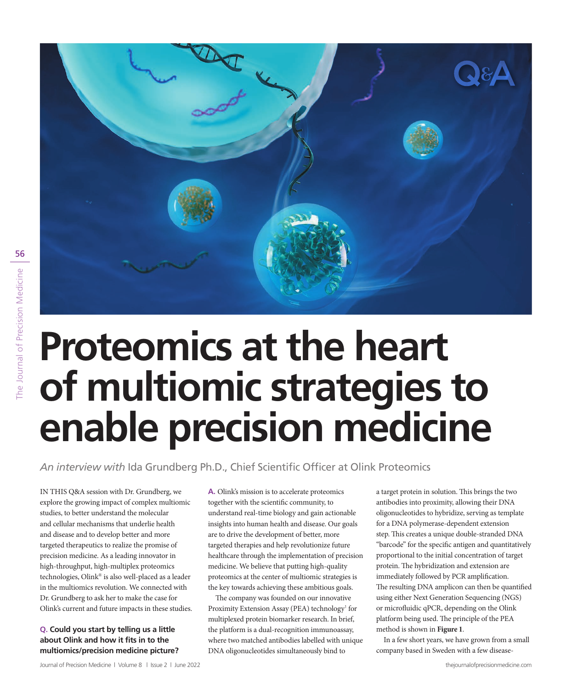

# **Proteomics at the heart of multiomic strategies to enable precision medicine**

*An interview with* Ida Grundberg Ph.D., Chief Scientific Officer at Olink Proteomics

IN THIS Q&A session with Dr. Grundberg, we explore the growing impact of complex multiomic studies, to better understand the molecular and cellular mechanisms that underlie health and disease and to develop better and more targeted therapeutics to realize the promise of precision medicine. As a leading innovator in high-throughput, high-multiplex proteomics technologies, Olink® is also well-placed as a leader in the multiomics revolution. We connected with Dr. Grundberg to ask her to make the case for Olink's current and future impacts in these studies.

## **Q. Could you start by telling us a little about Olink and how it fits in to the multiomics/precision medicine picture?**

**A.** Olink's mission is to accelerate proteomics together with the scientific community, to understand real-time biology and gain actionable insights into human health and disease. Our goals are to drive the development of better, more targeted therapies and help revolutionize future healthcare through the implementation of precision medicine. We believe that putting high-quality proteomics at the center of multiomic strategies is the key towards achieving these ambitious goals.

The company was founded on our innovative Proximity Extension Assay (PEA) technology<sup>1</sup> for multiplexed protein biomarker research. In brief, the platform is a dual-recognition immunoassay, where two matched antibodies labelled with unique DNA oligonucleotides simultaneously bind to

a target protein in solution. This brings the two antibodies into proximity, allowing their DNA oligonucleotides to hybridize, serving as template for a DNA polymerase-dependent extension step. This creates a unique double-stranded DNA "barcode" for the specific antigen and quantitatively proportional to the initial concentration of target protein. The hybridization and extension are immediately followed by PCR amplification. The resulting DNA amplicon can then be quantified using either Next Generation Sequencing (NGS) or microfluidic qPCR, depending on the Olink platform being used. The principle of the PEA method is shown in **Figure 1**.

In a few short years, we have grown from a small company based in Sweden with a few disease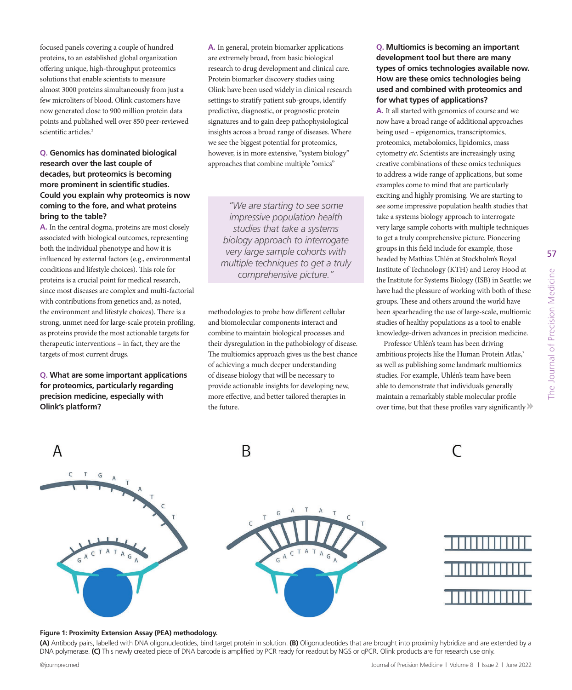focused panels covering a couple of hundred proteins, to an established global organization offering unique, high-throughput proteomics solutions that enable scientists to measure almost 3000 proteins simultaneously from just a few microliters of blood. Olink customers have now generated close to 900 million protein data points and published well over 850 peer-reviewed scientific articles.<sup>2</sup>

### **Q. Genomics has dominated biological research over the last couple of decades, but proteomics is becoming more prominent in scientific studies. Could you explain why proteomics is now coming to the fore, and what proteins bring to the table?**

**A.** In the central dogma, proteins are most closely associated with biological outcomes, representing both the individual phenotype and how it is influenced by external factors (e.g., environmental conditions and lifestyle choices). This role for proteins is a crucial point for medical research, since most diseases are complex and multi-factorial with contributions from genetics and, as noted, the environment and lifestyle choices). There is a strong, unmet need for large-scale protein profiling, as proteins provide the most actionable targets for therapeutic interventions – in fact, they are the targets of most current drugs.

**Q. What are some important applications for proteomics, particularly regarding precision medicine, especially with Olink's platform?**

**A.** In general, protein biomarker applications are extremely broad, from basic biological research to drug development and clinical care. Protein biomarker discovery studies using Olink have been used widely in clinical research settings to stratify patient sub-groups, identify predictive, diagnostic, or prognostic protein signatures and to gain deep pathophysiological insights across a broad range of diseases. Where we see the biggest potential for proteomics, however, is in more extensive, "system biology" approaches that combine multiple "omics"

*"We are starting to see some impressive population health studies that take a systems biology approach to interrogate very large sample cohorts with multiple techniques to get a truly comprehensive picture."*

methodologies to probe how different cellular and biomolecular components interact and combine to maintain biological processes and their dysregulation in the pathobiology of disease. The multiomics approach gives us the best chance of achieving a much deeper understanding of disease biology that will be necessary to provide actionable insights for developing new, more effective, and better tailored therapies in the future.

**Q. Multiomics is becoming an important development tool but there are many types of omics technologies available now. How are these omics technologies being used and combined with proteomics and for what types of applications?**

**A.** It all started with genomics of course and we now have a broad range of additional approaches being used – epigenomics, transcriptomics, proteomics, metabolomics, lipidomics, mass cytometry *etc*. Scientists are increasingly using creative combinations of these omics techniques to address a wide range of applications, but some examples come to mind that are particularly exciting and highly promising. We are starting to see some impressive population health studies that take a systems biology approach to interrogate very large sample cohorts with multiple techniques to get a truly comprehensive picture. Pioneering groups in this field include for example, those headed by Mathias Uhlén at Stockholm's Royal Institute of Technology (KTH) and Leroy Hood at the Institute for Systems Biology (ISB) in Seattle; we have had the pleasure of working with both of these groups. These and others around the world have been spearheading the use of large-scale, multiomic studies of healthy populations as a tool to enable knowledge-driven advances in precision medicine.

Professor Uhlén's team has been driving ambitious projects like the Human Protein Atlas,<sup>3</sup> as well as publishing some landmark multiomics studies. For example, Uhlén's team have been able to demonstrate that individuals generally maintain a remarkably stable molecular profile over time, but that these profiles vary significantly



#### **Figure 1: Proximity Extension Assay (PEA) methodology.**

**(A)** Antibody pairs, labelled with DNA oligonucleotides, bind target protein in solution. **(B)** Oligonucleotides that are brought into proximity hybridize and are extended by a DNA polymerase. **(C)** This newly created piece of DNA barcode is amplified by PCR ready for readout by NGS or qPCR. Olink products are for research use only.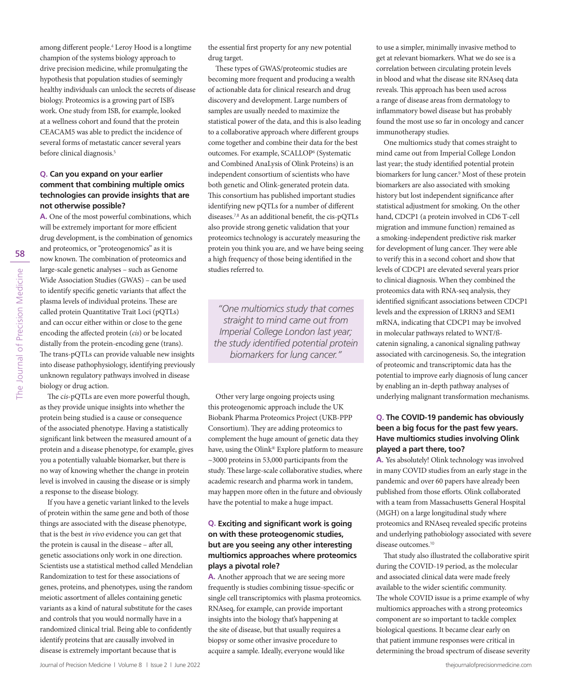58 The Journal of Precision Medicine The Journal of Precision Medicine

among different people.<sup>4</sup> Leroy Hood is a longtime champion of the systems biology approach to drive precision medicine, while promulgating the hypothesis that population studies of seemingly healthy individuals can unlock the secrets of disease biology. Proteomics is a growing part of ISB's work. One study from ISB, for example, looked at a wellness cohort and found that the protein CEACAM5 was able to predict the incidence of several forms of metastatic cancer several years before clinical diagnosis.<sup>5</sup>

#### **Q. Can you expand on your earlier comment that combining multiple omics technologies can provide insights that are not otherwise possible?**

**A.** One of the most powerful combinations, which will be extremely important for more efficient drug development, is the combination of genomics and proteomics, or "proteogenomics" as it is now known. The combination of proteomics and large-scale genetic analyses – such as Genome Wide Association Studies (GWAS) – can be used to identify specific genetic variants that affect the plasma levels of individual proteins. These are called protein Quantitative Trait Loci (pQTLs) and can occur either within or close to the gene encoding the affected protein (*cis*) or be located distally from the protein-encoding gene (trans). The trans-pQTLs can provide valuable new insights into disease pathophysiology, identifying previously unknown regulatory pathways involved in disease biology or drug action.

The c*is*-pQTLs are even more powerful though, as they provide unique insights into whether the protein being studied is a cause or consequence of the associated phenotype. Having a statistically significant link between the measured amount of a protein and a disease phenotype, for example, gives you a potentially valuable biomarker, but there is no way of knowing whether the change in protein level is involved in causing the disease or is simply a response to the disease biology.

If you have a genetic variant linked to the levels of protein within the same gene and both of those things are associated with the disease phenotype, that is the best *in vivo* evidence you can get that the protein is causal in the disease – after all, genetic associations only work in one direction. Scientists use a statistical method called Mendelian Randomization to test for these associations of genes, proteins, and phenotypes, using the random meiotic assortment of alleles containing genetic variants as a kind of natural substitute for the cases and controls that you would normally have in a randomized clinical trial. Being able to confidently identify proteins that are causally involved in disease is extremely important because that is

the essential first property for any new potential drug target.

These types of GWAS/proteomic studies are becoming more frequent and producing a wealth of actionable data for clinical research and drug discovery and development. Large numbers of samples are usually needed to maximize the statistical power of the data, and this is also leading to a collaborative approach where different groups come together and combine their data for the best outcomes. For example, SCALLOP<sup>6</sup> (Systematic and Combined AnaLysis of Olink Proteins) is an independent consortium of scientists who have both genetic and Olink-generated protein data. This consortium has published important studies identifying new pQTLs for a number of different diseases.7,8 As an additional benefit, the cis-pQTLs also provide strong genetic validation that your proteomics technology is accurately measuring the protein you think you are, and we have being seeing a high frequency of those being identified in the studies referred to.

*"One multiomics study that comes straight to mind came out from Imperial College London last year; the study identified potential protein biomarkers for lung cancer."*

Other very large ongoing projects using this proteogenomic approach include the UK Biobank Pharma Proteomics Project (UKB-PPP Consortium). They are adding proteomics to complement the huge amount of genetic data they have, using the Olink® Explore platform to measure ~3000 proteins in 53,000 participants from the study. These large-scale collaborative studies, where academic research and pharma work in tandem, may happen more often in the future and obviously have the potential to make a huge impact.

#### **Q. Exciting and significant work is going on with these proteogenomic studies, but are you seeing any other interesting multiomics approaches where proteomics plays a pivotal role?**

**A.** Another approach that we are seeing more frequently is studies combining tissue-specific or single cell transcriptomics with plasma proteomics. RNAseq, for example, can provide important insights into the biology that's happening at the site of disease, but that usually requires a biopsy or some other invasive procedure to acquire a sample. Ideally, everyone would like

to use a simpler, minimally invasive method to get at relevant biomarkers. What we do see is a correlation between circulating protein levels in blood and what the disease site RNAseq data reveals. This approach has been used across a range of disease areas from dermatology to inflammatory bowel disease but has probably found the most use so far in oncology and cancer immunotherapy studies.

One multiomics study that comes straight to mind came out from Imperial College London last year; the study identified potential protein biomarkers for lung cancer.<sup>9</sup> Most of these protein biomarkers are also associated with smoking history but lost independent significance after statistical adjustment for smoking. On the other hand, CDCP1 (a protein involved in CD6 T-cell migration and immune function) remained as a smoking-independent predictive risk marker for development of lung cancer. They were able to verify this in a second cohort and show that levels of CDCP1 are elevated several years prior to clinical diagnosis. When they combined the proteomics data with RNA-seq analysis, they identified significant associations between CDCP1 levels and the expression of LRRN3 and SEM1 mRNA, indicating that CDCP1 may be involved in molecular pathways related to WNT/ßcatenin signaling, a canonical signaling pathway associated with carcinogenesis. So, the integration of proteomic and transcriptomic data has the potential to improve early diagnosis of lung cancer by enabling an in-depth pathway analyses of underlying malignant transformation mechanisms.

### **Q. The COVID-19 pandemic has obviously been a big focus for the past few years. Have multiomics studies involving Olink played a part there, too?**

**A.** Yes absolutely! Olink technology was involved in many COVID studies from an early stage in the pandemic and over 60 papers have already been published from those efforts. Olink collaborated with a team from Massachusetts General Hospital (MGH) on a large longitudinal study where proteomics and RNAseq revealed specific proteins and underlying pathobiology associated with severe disease outcomes.<sup>10</sup>

That study also illustrated the collaborative spirit during the COVID-19 period, as the molecular and associated clinical data were made freely available to the wider scientific community. The whole COVID issue is a prime example of why multiomics approaches with a strong proteomics component are so important to tackle complex biological questions. It became clear early on that patient immune responses were critical in determining the broad spectrum of disease severity